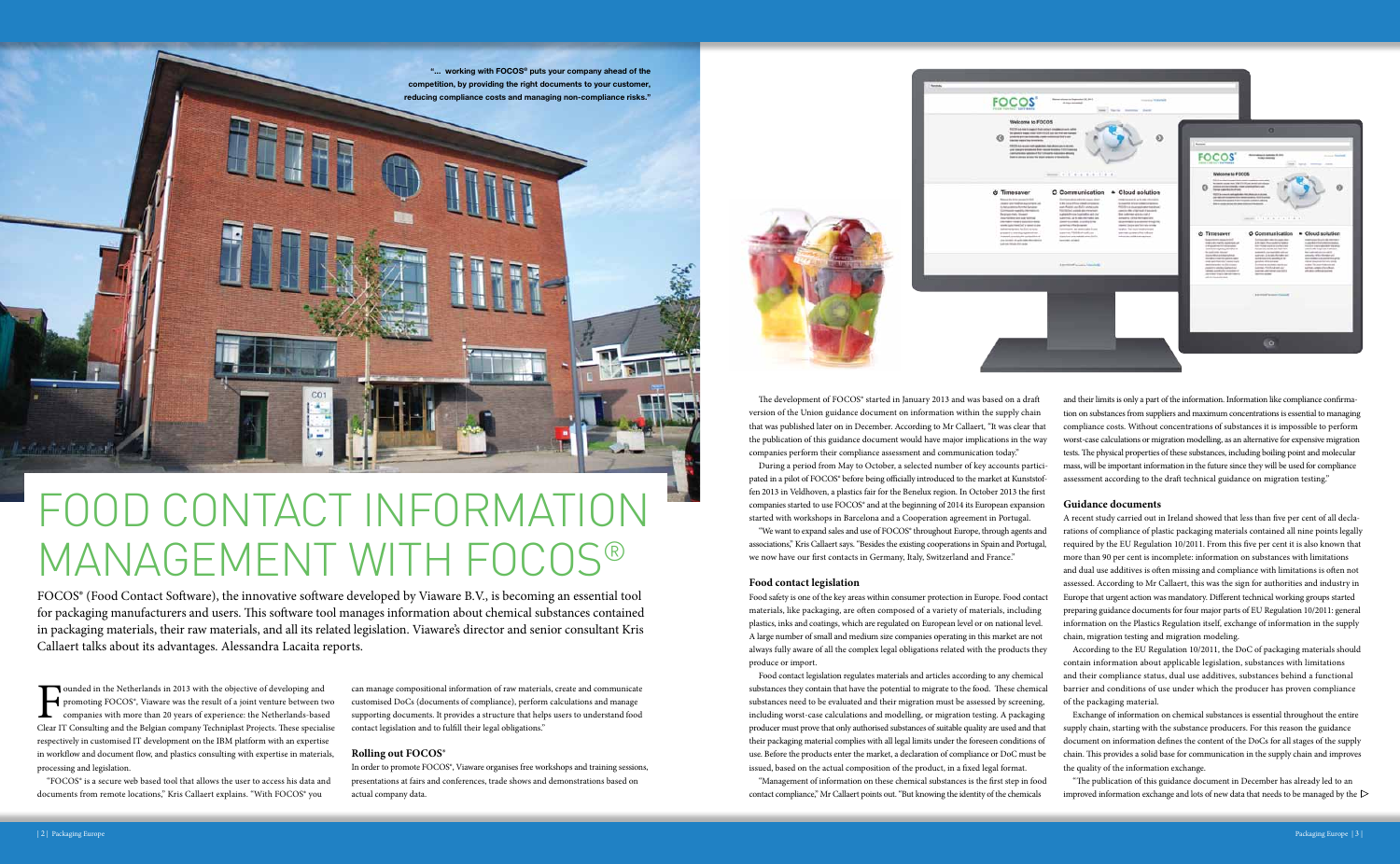## **Food contact legislation**

Food safety is one of the key areas within consumer protection in Europe. Food contact materials, like packaging, are often composed of a variety of materials, including plastics, inks and coatings, which are regulated on European level or on national level. A large number of small and medium size companies operating in this market are not always fully aware of all the complex legal obligations related with the products they produce or import.

The development of FOCOS® started in January 2013 and was based on a draft version of the Union guidance document on information within the supply chain that was published later on in December. According to Mr Callaert, "It was clear that the publication of this guidance document would have major implications in the way companies perform their compliance assessment and communication today." During a period from May to October, a selected number of key accounts participated in a pilot of FOCOS® before being officially introduced to the market at Kunststoffen 2013 in Veldhoven, a plastics fair for the Benelux region. In October 2013 the first companies started to use FOCOS® and at the beginning of 2014 its European expansion started with workshops in Barcelona and a Cooperation agreement in Portugal. "We want to expand sales and use of FOCOS® throughout Europe, through agents and associations," Kris Callaert says. "Besides the existing cooperations in Spain and Portugal, we now have our first contacts in Germany, Italy, Switzerland and France." and their limits is only a part of the information. Information like compliance confirmation on substances from suppliers and maximum concentrations is essential to managing compliance costs. Without concentrations of substances it is impossible to perform worst-case calculations or migration modelling, as an alternative for expensive migration tests. The physical properties of these substances, including boiling point and molecular mass, will be important information in the future since they will be used for compliance assessment according to the draft technical guidance on migration testing." **Guidance documents** A recent study carried out in Ireland showed that less than five per cent of all declarations of compliance of plastic packaging materials contained all nine points legally required by the EU Regulation 10/2011. From this five per cent it is also known that more than 90 per cent is incomplete: information on substances with limitations

Food contact legislation regulates materials and articles according to any chemical substances they contain that have the potential to migrate to the food. These chemical substances need to be evaluated and their migration must be assessed by screening, including worst-case calculations and modelling, or migration testing. A packaging producer must prove that only authorised substances of suitable quality are used and that their packaging material complies with all legal limits under the foreseen conditions of use. Before the products enter the market, a declaration of compliance or DoC must be issued, based on the actual composition of the product, in a fixed legal format.

> "The publication of this guidance document in December has already led to an improved information exchange and lots of new data that needs to be managed by the  $\triangleright$

"Management of information on these chemical substances is the first step in food contact compliance," Mr Callaert points out. "But knowing the identity of the chemicals



 $\prod_{\text{Clear } \Gamma}$ ounded in the Netherlands in 2013 with the objective of developing and promoting FOCOS®, Viaware was the result of a joint venture between two companies with more than 20 years of experience: the Netherlands-based Clear IT Consulting and the Belgian company Techniplast Projects. These specialise respectively in customised IT development on the IBM platform with an expertise in workflow and document flow, and plastics consulting with expertise in materials, processing and legislation.

"FOCOS® is a secure web based tool that allows the user to access his data and documents from remote locations," Kris Callaert explains. "With FOCOS" you

and dual use additives is often missing and compliance with limitations is often not assessed. According to Mr Callaert, this was the sign for authorities and industry in Europe that urgent action was mandatory. Different technical working groups started preparing guidance documents for four major parts of EU Regulation 10/2011: general information on the Plastics Regulation itself, exchange of information in the supply chain, migration testing and migration modeling.

According to the EU Regulation 10/2011, the DoC of packaging materials should contain information about applicable legislation, substances with limitations and their compliance status, dual use additives, substances behind a functional barrier and conditions of use under which the producer has proven compliance of the packaging material.

Exchange of information on chemical substances is essential throughout the entire supply chain, starting with the substance producers. For this reason the guidance document on information defines the content of the DoCs for all stages of the supply chain. This provides a solid base for communication in the supply chain and improves the quality of the information exchange.

can manage compositional information of raw materials, create and communicate customised DoCs (documents of compliance), perform calculations and manage supporting documents. It provides a structure that helps users to understand food contact legislation and to fulfill their legal obligations."

## **Rolling out FOCOS®**

In order to promote FOCOS®, Viaware organises free workshops and training sessions, presentations at fairs and conferences, trade shows and demonstrations based on actual company data.



# Food Contact Information Management with FOCOS®

FOCOS® (Food Contact Software), the innovative software developed by Viaware B.V., is becoming an essential tool for packaging manufacturers and users. This software tool manages information about chemical substances contained in packaging materials, their raw materials, and all its related legislation. Viaware's director and senior consultant Kris Callaert talks about its advantages. Alessandra Lacaita reports.

"... working with FOCOS® puts your company ahead of the competition, by providing the right documents to your customer, reducing compliance costs and managing non-compliance risks."